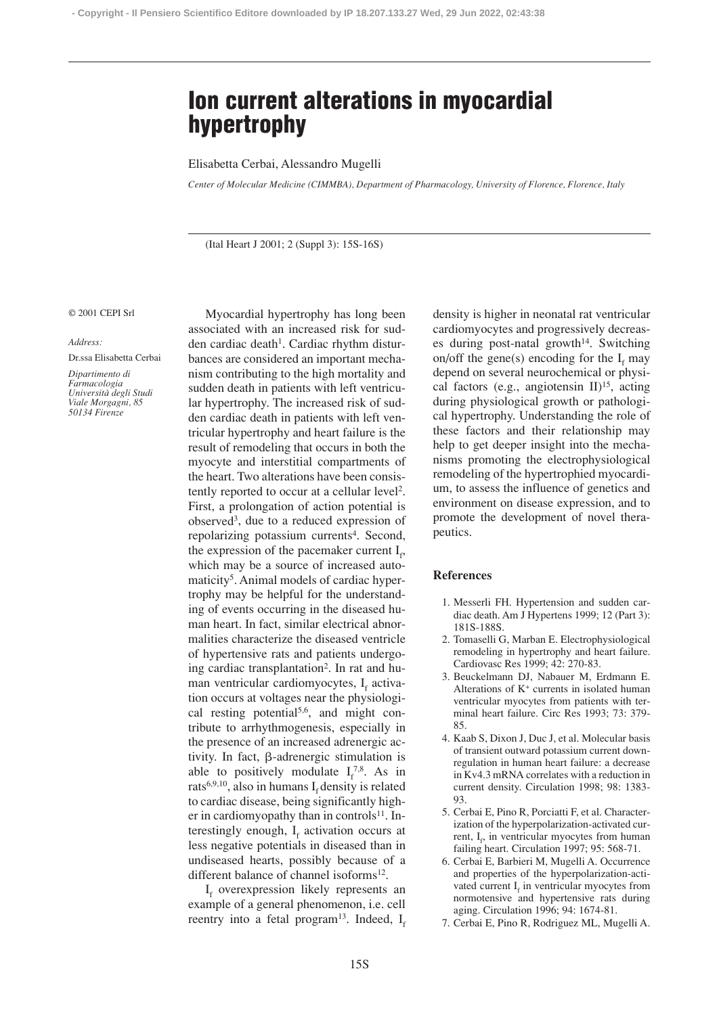# **Ion current alterations in myocardial hypertrophy**

## Elisabetta Cerbai, Alessandro Mugelli

*Center of Molecular Medicine (CIMMBA), Department of Pharmacology, University of Florence, Florence, Italy*

(Ital Heart J 2001; 2 (Suppl 3): 15S-16S)

#### © 2001 CEPI Srl

### *Address:*

Dr.ssa Elisabetta Cerbai

*Dipartimento di Farmacologia Università degli Studi Viale Morgagni, 85 50134 Firenze*

Myocardial hypertrophy has long been associated with an increased risk for sudden cardiac death<sup>1</sup>. Cardiac rhythm disturbances are considered an important mechanism contributing to the high mortality and sudden death in patients with left ventricular hypertrophy. The increased risk of sudden cardiac death in patients with left ventricular hypertrophy and heart failure is the result of remodeling that occurs in both the myocyte and interstitial compartments of the heart. Two alterations have been consistently reported to occur at a cellular level2. First, a prolongation of action potential is observed3, due to a reduced expression of repolarizing potassium currents<sup>4</sup>. Second, the expression of the pacemaker current  $I_f$ , which may be a source of increased automaticity<sup>5</sup>. Animal models of cardiac hypertrophy may be helpful for the understanding of events occurring in the diseased human heart. In fact, similar electrical abnormalities characterize the diseased ventricle of hypertensive rats and patients undergoing cardiac transplantation2. In rat and human ventricular cardiomyocytes,  $I_f$  activation occurs at voltages near the physiological resting potential<sup>5,6</sup>, and might contribute to arrhythmogenesis, especially in the presence of an increased adrenergic activity. In fact,  $\beta$ -adrenergic stimulation is able to positively modulate  $I_f^{7,8}$ . As in rats<sup>6,9,10</sup>, also in humans  $I_f$  density is related to cardiac disease, being significantly higher in cardiomyopathy than in controls<sup>11</sup>. Interestingly enough,  $I_f$  activation occurs at less negative potentials in diseased than in undiseased hearts, possibly because of a different balance of channel isoforms<sup>12</sup>.

 $I_f$  overexpression likely represents an example of a general phenomenon, i.e. cell reentry into a fetal program<sup>13</sup>. Indeed,  $I_f$ 

density is higher in neonatal rat ventricular cardiomyocytes and progressively decreases during post-natal growth<sup>14</sup>. Switching on/off the gene(s) encoding for the  $I<sub>r</sub>$  may depend on several neurochemical or physical factors (e.g., angiotensin  $II$ )<sup>15</sup>, acting during physiological growth or pathological hypertrophy. Understanding the role of these factors and their relationship may help to get deeper insight into the mechanisms promoting the electrophysiological remodeling of the hypertrophied myocardium, to assess the influence of genetics and environment on disease expression, and to promote the development of novel therapeutics.

## **References**

- 1. Messerli FH. Hypertension and sudden cardiac death. Am J Hypertens 1999; 12 (Part 3): 181S-188S.
- 2. Tomaselli G, Marban E. Electrophysiological remodeling in hypertrophy and heart failure. Cardiovasc Res 1999; 42: 270-83.
- 3. Beuckelmann DJ, Nabauer M, Erdmann E. Alterations of K+ currents in isolated human ventricular myocytes from patients with terminal heart failure. Circ Res 1993; 73: 379- 85.
- 4. Kaab S, Dixon J, Duc J, et al. Molecular basis of transient outward potassium current downregulation in human heart failure: a decrease in Kv4.3 mRNA correlates with a reduction in current density. Circulation 1998; 98: 1383- 93.
- 5. Cerbai E, Pino R, Porciatti F, et al. Characterization of the hyperpolarization-activated current, I<sub>f</sub>, in ventricular myocytes from human failing heart. Circulation 1997; 95: 568-71.
- 6. Cerbai E, Barbieri M, Mugelli A. Occurrence and properties of the hyperpolarization-activated current  $I_f$  in ventricular myocytes from normotensive and hypertensive rats during aging. Circulation 1996; 94: 1674-81.
- 7. Cerbai E, Pino R, Rodriguez ML, Mugelli A.